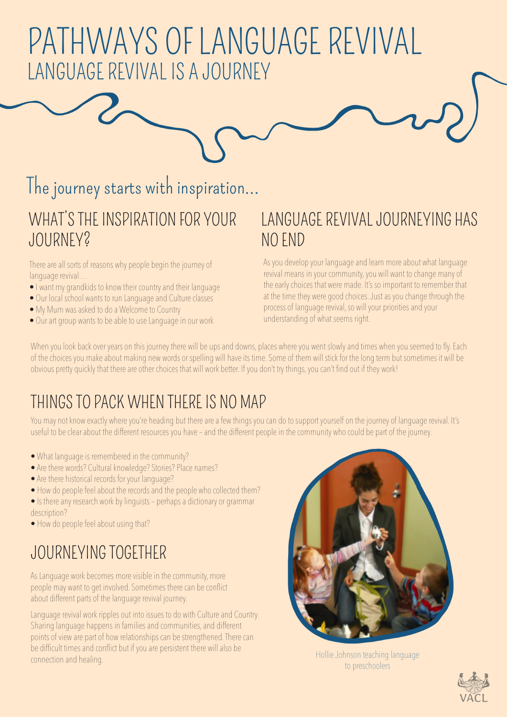# PATHWAYS OF LANGUAGE REVIVAL LANGUAGE REVIVAL IS A JOURNEY

## The journey starts with inspiration...

#### WHAT'S THE INSPIRATION FOR YOUR JOURNEY?

There are all sorts of reasons why people begin the journey of language revival…

- I want my grandkids to know their country and their language
- Our local school wants to run Language and Culture classes
- My Mum was asked to do a Welcome to Country
- Our art group wants to be able to use Language in our work

#### LANGUAGE REVIVAL JOURNEYING HAS NO END

As you develop your language and learn more about what language revival means in your community, you will want to change many of the early choices that were made. It's so important to remember that at the time they were good choices. Just as you change through the process of language revival, so will your priorities and your understanding of what seems right.

When you look back over years on this journey there will be ups and downs, places where you went slowly and times when you seemed to fly. Each of the choices you make about making new words or spelling will have its time. Some of them will stick for the long term but sometimes it will be obvious pretty quickly that there are other choices that will work better. If you don't try things, you can't find out if they work!

### THINGS TO PACK WHEN THERE IS NO MAP

You may not know exactly where you're heading but there are a few things you can do to support yourself on the journey of language revival. It's useful to be clear about the different resources you have – and the different people in the community who could be part of the journey.

- What language is remembered in the community?
- Are there words? Cultural knowledge? Stories? Place names?
- Are there historical records for your language?
- How do people feel about the records and the people who collected them?

• Is there any research work by linguists – perhaps a dictionary or grammar description?

• How do people feel about using that?

### JOURNEYING TOGETHER

As Language work becomes more visible in the community, more people may want to get involved. Sometimes there can be conflict about different parts of the language revival journey.

Language revival work ripples out into issues to do with Culture and Country. Sharing language happens in families and communities, and different points of view are part of how relationships can be strengthened. There can be difficult times and conflict but if you are persistent there will also be connection and healing. The anti-connection and healing. The persistent there will also be the Hollie Johnson teaching language connection and healing.



to preschoolers